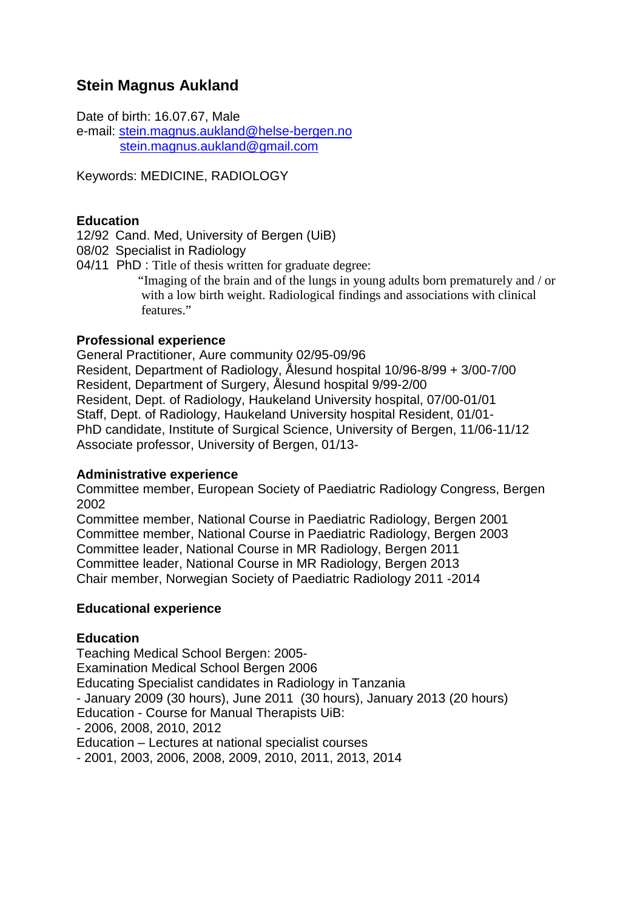# **Stein Magnus Aukland**

Date of birth: 16.07.67, Male e-mail: stein.magnus.aukland@helse-bergen.no stein.magnus.aukland@gmail.com

Keywords: MEDICINE, RADIOLOGY

# **Education**

12/92 Cand. Med, University of Bergen (UiB)

08/02 Specialist in Radiology

04/11 PhD : Title of thesis written for graduate degree: "Imaging of the brain and of the lungs in young adults born prematurely and / or with a low birth weight. Radiological findings and associations with clinical features."

# **Professional experience**

General Practitioner, Aure community 02/95-09/96 Resident, Department of Radiology, Ålesund hospital 10/96-8/99 + 3/00-7/00 Resident, Department of Surgery, Ålesund hospital 9/99-2/00 Resident, Dept. of Radiology, Haukeland University hospital, 07/00-01/01 Staff, Dept. of Radiology, Haukeland University hospital Resident, 01/01- PhD candidate, Institute of Surgical Science, University of Bergen, 11/06-11/12 Associate professor, University of Bergen, 01/13-

## **Administrative experience**

Committee member, European Society of Paediatric Radiology Congress, Bergen 2002

Committee member, National Course in Paediatric Radiology, Bergen 2001 Committee member, National Course in Paediatric Radiology, Bergen 2003 Committee leader, National Course in MR Radiology, Bergen 2011 Committee leader, National Course in MR Radiology, Bergen 2013 Chair member, Norwegian Society of Paediatric Radiology 2011 -2014

## **Educational experience**

## **Education**

Teaching Medical School Bergen: 2005- Examination Medical School Bergen 2006 Educating Specialist candidates in Radiology in Tanzania - January 2009 (30 hours), June 2011 (30 hours), January 2013 (20 hours) Education - Course for Manual Therapists UiB: - 2006, 2008, 2010, 2012 Education – Lectures at national specialist courses - 2001, 2003, 2006, 2008, 2009, 2010, 2011, 2013, 2014